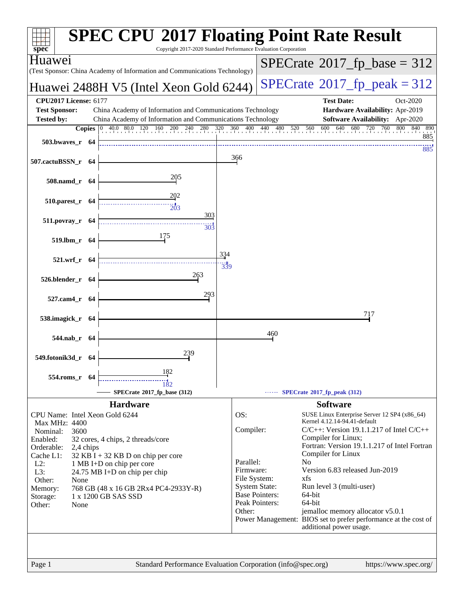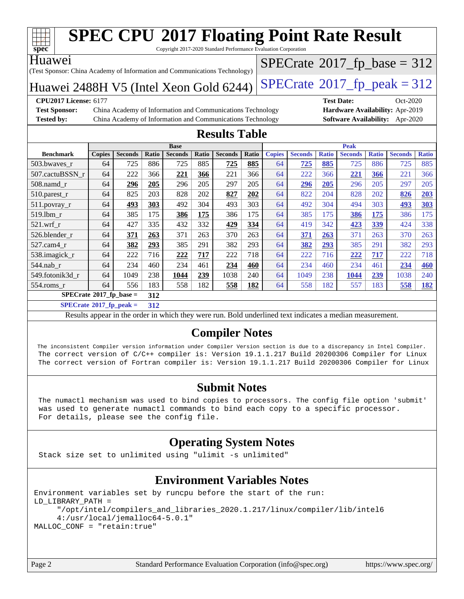

Copyright 2017-2020 Standard Performance Evaluation Corporation

#### Huawei

(Test Sponsor: China Academy of Information and Communications Technology)

Huawei 2488H V5 (Intel Xeon Gold 6244) [SPECrate](http://www.spec.org/auto/cpu2017/Docs/result-fields.html#SPECrate2017fppeak)®2017\_fp\_peak =  $312$ 

 $SPECrate$ <sup>®</sup>[2017\\_fp\\_base =](http://www.spec.org/auto/cpu2017/Docs/result-fields.html#SPECrate2017fpbase) 312

**[Test Sponsor:](http://www.spec.org/auto/cpu2017/Docs/result-fields.html#TestSponsor)** China Academy of Information and Communications Technology **[Hardware Availability:](http://www.spec.org/auto/cpu2017/Docs/result-fields.html#HardwareAvailability)** Apr-2019 **[Tested by:](http://www.spec.org/auto/cpu2017/Docs/result-fields.html#Testedby)** China Academy of Information and Communications Technology **[Software Availability:](http://www.spec.org/auto/cpu2017/Docs/result-fields.html#SoftwareAvailability)** Apr-2020

**[CPU2017 License:](http://www.spec.org/auto/cpu2017/Docs/result-fields.html#CPU2017License)** 6177 **[Test Date:](http://www.spec.org/auto/cpu2017/Docs/result-fields.html#TestDate)** Oct-2020

### **[Results Table](http://www.spec.org/auto/cpu2017/Docs/result-fields.html#ResultsTable)**

| <b>Base</b>                            |               |                |       |                |       |                | <b>Peak</b> |               |                |              |                |              |                |              |
|----------------------------------------|---------------|----------------|-------|----------------|-------|----------------|-------------|---------------|----------------|--------------|----------------|--------------|----------------|--------------|
| <b>Benchmark</b>                       | <b>Copies</b> | <b>Seconds</b> | Ratio | <b>Seconds</b> | Ratio | <b>Seconds</b> | Ratio       | <b>Copies</b> | <b>Seconds</b> | <b>Ratio</b> | <b>Seconds</b> | <b>Ratio</b> | <b>Seconds</b> | <b>Ratio</b> |
| 503.bwaves_r                           | 64            | 725            | 886   | 725            | 885   | 725            | 885         | 64            | 725            | 885          | 725            | 886          | 725            | 885          |
| 507.cactuBSSN r                        | 64            | 222            | 366   | 221            | 366   | 221            | 366         | 64            | 222            | 366          | 221            | 366          | 221            | 366          |
| $508$ .namd $r$                        | 64            | 296            | 205   | 296            | 205   | 297            | 205         | 64            | 296            | 205          | 296            | 205          | 297            | 205          |
| 510.parest_r                           | 64            | 825            | 203   | 828            | 202   | 827            | 202         | 64            | 822            | 204          | 828            | 202          | 826            | 203          |
| 511.povray_r                           | 64            | 493            | 303   | 492            | 304   | 493            | 303         | 64            | 492            | 304          | 494            | 303          | 493            | 303          |
| 519.1bm r                              | 64            | 385            | 175   | 386            | 175   | 386            | 175         | 64            | 385            | 175          | 386            | 175          | 386            | 175          |
| $521$ .wrf r                           | 64            | 427            | 335   | 432            | 332   | 429            | 334         | 64            | 419            | 342          | 423            | 339          | 424            | 338          |
| 526.blender_r                          | 64            | 371            | 263   | 371            | 263   | 370            | 263         | 64            | 371            | 263          | 371            | 263          | 370            | 263          |
| $527.cam4_r$                           | 64            | 382            | 293   | 385            | 291   | 382            | 293         | 64            | 382            | 293          | 385            | 291          | 382            | 293          |
| 538.imagick_r                          | 64            | 222            | 716   | 222            | 717   | 222            | 718         | 64            | 222            | 716          | 222            | 717          | 222            | 718          |
| 544.nab r                              | 64            | 234            | 460   | 234            | 461   | 234            | 460         | 64            | 234            | 460          | 234            | 461          | 234            | 460          |
| 549.fotonik3d r                        | 64            | 1049           | 238   | 1044           | 239   | 1038           | 240         | 64            | 1049           | 238          | 1044           | 239          | 1038           | 240          |
| $554$ .roms $r$                        | 64            | 556            | 183   | 558            | 182   | 558            | 182         | 64            | 558            | 182          | 557            | 183          | 558            | 182          |
| $SPECrate$ <sup>®</sup> 2017_fp_base = |               |                | 312   |                |       |                |             |               |                |              |                |              |                |              |

**[SPECrate](http://www.spec.org/auto/cpu2017/Docs/result-fields.html#SPECrate2017fppeak)[2017\\_fp\\_peak =](http://www.spec.org/auto/cpu2017/Docs/result-fields.html#SPECrate2017fppeak) 312**

Results appear in the [order in which they were run](http://www.spec.org/auto/cpu2017/Docs/result-fields.html#RunOrder). Bold underlined text [indicates a median measurement](http://www.spec.org/auto/cpu2017/Docs/result-fields.html#Median).

## **[Compiler Notes](http://www.spec.org/auto/cpu2017/Docs/result-fields.html#CompilerNotes)**

 The inconsistent Compiler version information under Compiler Version section is due to a discrepancy in Intel Compiler. The correct version of C/C++ compiler is: Version 19.1.1.217 Build 20200306 Compiler for Linux The correct version of Fortran compiler is: Version 19.1.1.217 Build 20200306 Compiler for Linux

#### **[Submit Notes](http://www.spec.org/auto/cpu2017/Docs/result-fields.html#SubmitNotes)**

 The numactl mechanism was used to bind copies to processors. The config file option 'submit' was used to generate numactl commands to bind each copy to a specific processor. For details, please see the config file.

## **[Operating System Notes](http://www.spec.org/auto/cpu2017/Docs/result-fields.html#OperatingSystemNotes)**

Stack size set to unlimited using "ulimit -s unlimited"

### **[Environment Variables Notes](http://www.spec.org/auto/cpu2017/Docs/result-fields.html#EnvironmentVariablesNotes)**

```
Environment variables set by runcpu before the start of the run:
LD_LIBRARY_PATH =
      "/opt/intel/compilers_and_libraries_2020.1.217/linux/compiler/lib/intel6
      4:/usr/local/jemalloc64-5.0.1"
MALLOC_CONF = "retain:true"
```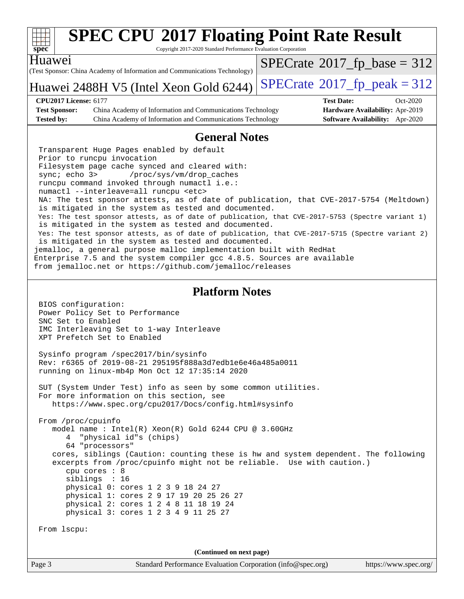

Copyright 2017-2020 Standard Performance Evaluation Corporation

#### Huawei

(Test Sponsor: China Academy of Information and Communications Technology)

Huawei 2488H V5 (Intel Xeon Gold 6244) [SPECrate](http://www.spec.org/auto/cpu2017/Docs/result-fields.html#SPECrate2017fppeak)®2017\_fp\_peak =  $312$  $SPECrate$ <sup>®</sup>[2017\\_fp\\_base =](http://www.spec.org/auto/cpu2017/Docs/result-fields.html#SPECrate2017fpbase) 312

#### **[CPU2017 License:](http://www.spec.org/auto/cpu2017/Docs/result-fields.html#CPU2017License)** 6177 **[Test Date:](http://www.spec.org/auto/cpu2017/Docs/result-fields.html#TestDate)** Oct-2020 **[Test Sponsor:](http://www.spec.org/auto/cpu2017/Docs/result-fields.html#TestSponsor)** China Academy of Information and Communications Technology **[Hardware Availability:](http://www.spec.org/auto/cpu2017/Docs/result-fields.html#HardwareAvailability)** Apr-2019

**[Tested by:](http://www.spec.org/auto/cpu2017/Docs/result-fields.html#Testedby)** China Academy of Information and Communications Technology **[Software Availability:](http://www.spec.org/auto/cpu2017/Docs/result-fields.html#SoftwareAvailability)** Apr-2020

## **[General Notes](http://www.spec.org/auto/cpu2017/Docs/result-fields.html#GeneralNotes)**

 Transparent Huge Pages enabled by default Prior to runcpu invocation Filesystem page cache synced and cleared with: sync; echo 3> /proc/sys/vm/drop\_caches runcpu command invoked through numactl i.e.: numactl --interleave=all runcpu <etc> NA: The test sponsor attests, as of date of publication, that CVE-2017-5754 (Meltdown) is mitigated in the system as tested and documented. Yes: The test sponsor attests, as of date of publication, that CVE-2017-5753 (Spectre variant 1) is mitigated in the system as tested and documented. Yes: The test sponsor attests, as of date of publication, that CVE-2017-5715 (Spectre variant 2) is mitigated in the system as tested and documented. jemalloc, a general purpose malloc implementation built with RedHat Enterprise 7.5 and the system compiler gcc 4.8.5. Sources are available

from jemalloc.net or <https://github.com/jemalloc/releases>

#### **[Platform Notes](http://www.spec.org/auto/cpu2017/Docs/result-fields.html#PlatformNotes)**

 BIOS configuration: Power Policy Set to Performance SNC Set to Enabled IMC Interleaving Set to 1-way Interleave XPT Prefetch Set to Enabled

 Sysinfo program /spec2017/bin/sysinfo Rev: r6365 of 2019-08-21 295195f888a3d7edb1e6e46a485a0011 running on linux-mb4p Mon Oct 12 17:35:14 2020

 SUT (System Under Test) info as seen by some common utilities. For more information on this section, see <https://www.spec.org/cpu2017/Docs/config.html#sysinfo>

 From /proc/cpuinfo model name : Intel(R) Xeon(R) Gold 6244 CPU @ 3.60GHz 4 "physical id"s (chips) 64 "processors" cores, siblings (Caution: counting these is hw and system dependent. The following excerpts from /proc/cpuinfo might not be reliable. Use with caution.) cpu cores : 8 siblings : 16 physical 0: cores 1 2 3 9 18 24 27 physical 1: cores 2 9 17 19 20 25 26 27 physical 2: cores 1 2 4 8 11 18 19 24 physical 3: cores 1 2 3 4 9 11 25 27

From lscpu:

**(Continued on next page)**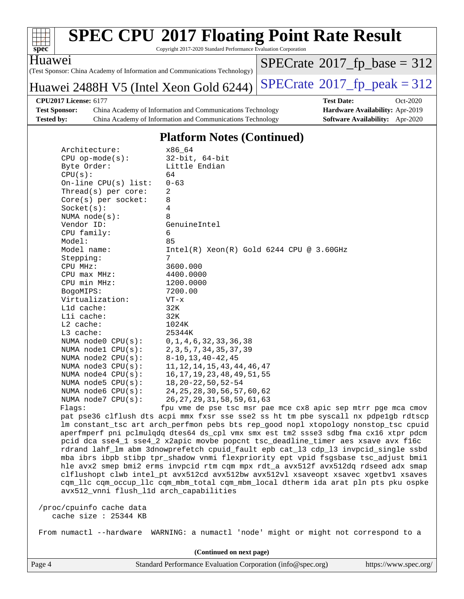

Copyright 2017-2020 Standard Performance Evaluation Corporation

Huawei

(Test Sponsor: China Academy of Information and Communications Technology)

Huawei 2488H V5 (Intel Xeon Gold 6244) [SPECrate](http://www.spec.org/auto/cpu2017/Docs/result-fields.html#SPECrate2017fppeak)®2017\_fp\_peak =  $312$ 

 $SPECTate$ <sup>®</sup>[2017\\_fp\\_base =](http://www.spec.org/auto/cpu2017/Docs/result-fields.html#SPECrate2017fpbase) 312

**[Test Sponsor:](http://www.spec.org/auto/cpu2017/Docs/result-fields.html#TestSponsor)** China Academy of Information and Communications Technology **[Hardware Availability:](http://www.spec.org/auto/cpu2017/Docs/result-fields.html#HardwareAvailability)** Apr-2019 **[Tested by:](http://www.spec.org/auto/cpu2017/Docs/result-fields.html#Testedby)** China Academy of Information and Communications Technology **[Software Availability:](http://www.spec.org/auto/cpu2017/Docs/result-fields.html#SoftwareAvailability)** Apr-2020

**[CPU2017 License:](http://www.spec.org/auto/cpu2017/Docs/result-fields.html#CPU2017License)** 6177 **[Test Date:](http://www.spec.org/auto/cpu2017/Docs/result-fields.html#TestDate)** Oct-2020

### **[Platform Notes \(Continued\)](http://www.spec.org/auto/cpu2017/Docs/result-fields.html#PlatformNotes)**

| Architecture:<br>$CPU op-mode(s):$<br>Byte Order:<br>CPU(s):<br>On-line CPU(s) list: $0-63$<br>Thread( $s$ ) per core: | x86_64<br>$32$ -bit, $64$ -bit<br>Little Endian<br>64<br>2        |
|------------------------------------------------------------------------------------------------------------------------|-------------------------------------------------------------------|
| $Core(s)$ per socket:                                                                                                  | 8                                                                 |
| Socket(s):                                                                                                             | 4                                                                 |
| NUMA $node(s):$                                                                                                        | 8                                                                 |
| Vendor ID:                                                                                                             | GenuineIntel                                                      |
| CPU family:                                                                                                            | 6                                                                 |
| Model:                                                                                                                 | 85                                                                |
| Model name:                                                                                                            | $Intel(R)$ Xeon $(R)$ Gold 6244 CPU @ 3.60GHz                     |
| Stepping:                                                                                                              | 7                                                                 |
| CPU MHz:                                                                                                               | 3600.000                                                          |
| $CPU$ $max$ $MHz$ :                                                                                                    | 4400.0000                                                         |
| CPU min MHz:                                                                                                           | 1200.0000                                                         |
| BogoMIPS:                                                                                                              | 7200.00                                                           |
| Virtualization:                                                                                                        | $VT - x$                                                          |
| L1d cache:                                                                                                             | 32K                                                               |
| Lli cache:                                                                                                             | 32K                                                               |
| $L2$ cache:                                                                                                            | 1024K                                                             |
| L3 cache:                                                                                                              | 25344K                                                            |
| NUMA node0 CPU(s):                                                                                                     | 0, 1, 4, 6, 32, 33, 36, 38                                        |
| NUMA nodel CPU(s): 2, 3, 5, 7, 34, 35, 37, 39                                                                          |                                                                   |
| NUMA node2 CPU(s):                                                                                                     | 8-10,13,40-42,45                                                  |
| NUMA node3 CPU(s):                                                                                                     | 11, 12, 14, 15, 43, 44, 46, 47                                    |
| NUMA node4 CPU(s):                                                                                                     | 16, 17, 19, 23, 48, 49, 51, 55                                    |
| NUMA node5 CPU(s):                                                                                                     | $18, 20 - 22, 50, 52 - 54$                                        |
|                                                                                                                        | NUMA node6 CPU(s): 24, 25, 28, 30, 56, 57, 60, 62                 |
| NUMA $node7$ CPU $(s)$ :                                                                                               | 26, 27, 29, 31, 58, 59, 61, 63                                    |
| Flaqs:                                                                                                                 | fpu vme de pse tsc msr pae mce cx8 apic sep                       |
|                                                                                                                        | pat pse36 clflush dts acpi mmx fxsr sse sse2 ss ht tm pbe syscall |

mtrr pge mca cmov nx pdpe1gb rdtscp lm constant\_tsc art arch\_perfmon pebs bts rep\_good nopl xtopology nonstop\_tsc cpuid aperfmperf pni pclmulqdq dtes64 ds\_cpl vmx smx est tm2 ssse3 sdbg fma cx16 xtpr pdcm pcid dca sse4\_1 sse4\_2 x2apic movbe popcnt tsc\_deadline\_timer aes xsave avx f16c rdrand lahf\_lm abm 3dnowprefetch cpuid\_fault epb cat\_l3 cdp\_l3 invpcid\_single ssbd mba ibrs ibpb stibp tpr\_shadow vnmi flexpriority ept vpid fsgsbase tsc\_adjust bmi1 hle avx2 smep bmi2 erms invpcid rtm cqm mpx rdt\_a avx512f avx512dq rdseed adx smap clflushopt clwb intel\_pt avx512cd avx512bw avx512vl xsaveopt xsavec xgetbv1 xsaves cqm\_llc cqm\_occup\_llc cqm\_mbm\_total cqm\_mbm\_local dtherm ida arat pln pts pku ospke avx512\_vnni flush\_l1d arch\_capabilities

 /proc/cpuinfo cache data cache size : 25344 KB

From numactl --hardware WARNING: a numactl 'node' might or might not correspond to a

**(Continued on next page)**

Page 4 Standard Performance Evaluation Corporation [\(info@spec.org\)](mailto:info@spec.org) <https://www.spec.org/>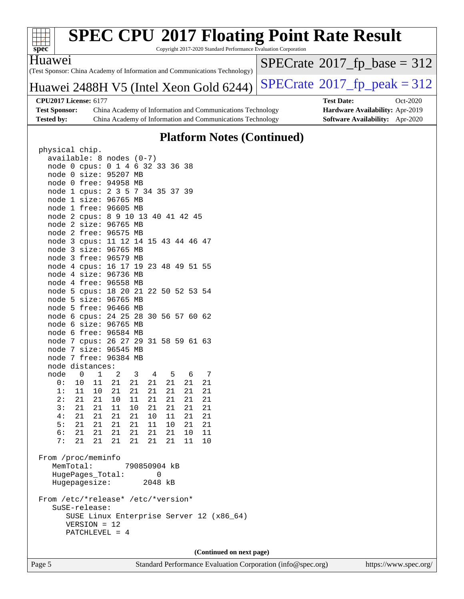

Copyright 2017-2020 Standard Performance Evaluation Corporation

(Test Sponsor: China Academy of Information and Communications Technology) Huawei

 $SPECTate$ <sup>®</sup>[2017\\_fp\\_base =](http://www.spec.org/auto/cpu2017/Docs/result-fields.html#SPECrate2017fpbase) 312

## Huawei 2488H V5 (Intel Xeon Gold 6244) [SPECrate](http://www.spec.org/auto/cpu2017/Docs/result-fields.html#SPECrate2017fppeak)®[2017\\_fp\\_peak = 3](http://www.spec.org/auto/cpu2017/Docs/result-fields.html#SPECrate2017fppeak)12

**[CPU2017 License:](http://www.spec.org/auto/cpu2017/Docs/result-fields.html#CPU2017License)** 6177 **[Test Date:](http://www.spec.org/auto/cpu2017/Docs/result-fields.html#TestDate)** Oct-2020 **[Test Sponsor:](http://www.spec.org/auto/cpu2017/Docs/result-fields.html#TestSponsor)** China Academy of Information and Communications Technology **[Hardware Availability:](http://www.spec.org/auto/cpu2017/Docs/result-fields.html#HardwareAvailability)** Apr-2019 **[Tested by:](http://www.spec.org/auto/cpu2017/Docs/result-fields.html#Testedby)** China Academy of Information and Communications Technology **[Software Availability:](http://www.spec.org/auto/cpu2017/Docs/result-fields.html#SoftwareAvailability)** Apr-2020

## **[Platform Notes \(Continued\)](http://www.spec.org/auto/cpu2017/Docs/result-fields.html#PlatformNotes)**

| physical chip.                       |                                                                 |             |                                         |                                                     |                |             |                |    |        |  |
|--------------------------------------|-----------------------------------------------------------------|-------------|-----------------------------------------|-----------------------------------------------------|----------------|-------------|----------------|----|--------|--|
| available: 8 nodes (0-7)             |                                                                 |             |                                         |                                                     |                |             |                |    |        |  |
| node 0 cpus: 0 1 4 6 32 33 36 38     |                                                                 |             |                                         |                                                     |                |             |                |    |        |  |
| node 0 size: 95207 MB                |                                                                 |             |                                         |                                                     |                |             |                |    |        |  |
| node 0 free: 94958 MB                |                                                                 |             |                                         |                                                     |                |             |                |    |        |  |
| node 1 cpus: 2 3 5 7 34 35 37 39     |                                                                 |             |                                         |                                                     |                |             |                |    |        |  |
| node 1 size: 96765 MB                |                                                                 |             |                                         |                                                     |                |             |                |    |        |  |
| node 1 free: 96605 MB                |                                                                 |             |                                         |                                                     |                |             |                |    |        |  |
| node 2 cpus: 8 9 10 13 40 41 42 45   |                                                                 |             |                                         |                                                     |                |             |                |    |        |  |
| node 2 size: 96765 MB                |                                                                 |             |                                         |                                                     |                |             |                |    |        |  |
| node 2 free: 96575 MB                |                                                                 |             |                                         |                                                     |                |             |                |    |        |  |
| node 3 cpus: 11 12 14 15 43 44 46 47 |                                                                 |             |                                         |                                                     |                |             |                |    |        |  |
| node 3 size: 96765 MB                |                                                                 |             |                                         |                                                     |                |             |                |    |        |  |
| node 3 free: 96579 MB                |                                                                 |             |                                         |                                                     |                |             |                |    |        |  |
| node 4 cpus: 16 17 19 23 48 49 51 55 |                                                                 |             |                                         |                                                     |                |             |                |    |        |  |
| node 4 size: 96736 MB                |                                                                 |             |                                         |                                                     |                |             |                |    |        |  |
| node 4 free: 96558 MB                |                                                                 |             |                                         |                                                     |                |             |                |    |        |  |
| node 5 cpus: 18 20 21 22 50 52 53 54 |                                                                 |             |                                         |                                                     |                |             |                |    |        |  |
| node 5 size: 96765 MB                |                                                                 |             |                                         |                                                     |                |             |                |    |        |  |
| node 5 free: 96466 MB                |                                                                 |             |                                         |                                                     |                |             |                |    |        |  |
| node 6 cpus: 24 25 28 30 56 57 60 62 |                                                                 |             |                                         |                                                     |                |             |                |    |        |  |
| node 6 size: 96765 MB                |                                                                 |             |                                         |                                                     |                |             |                |    |        |  |
| node 6 free: 96584 MB                |                                                                 |             |                                         |                                                     |                |             |                |    |        |  |
| node 7 cpus: 26 27 29 31 58 59 61 63 |                                                                 |             |                                         |                                                     |                |             |                |    |        |  |
| node 7 size: 96545 MB                |                                                                 |             |                                         |                                                     |                |             |                |    |        |  |
| node 7 free: 96384 MB                |                                                                 |             |                                         |                                                     |                |             |                |    |        |  |
| node distances:                      |                                                                 |             |                                         |                                                     |                |             |                |    |        |  |
| node                                 | 0                                                               | $\mathbf 1$ | 2                                       | $\overline{\mathbf{3}}$                             | $\overline{4}$ | $5^{\circ}$ |                | 6  | 7      |  |
| 0:                                   | 10                                                              | 11          | 21                                      | 21                                                  | 21             |             | 21             | 21 | 21     |  |
|                                      |                                                                 |             | $\begin{array}{c} 21 \\ 10 \end{array}$ |                                                     |                | 21          |                | 21 | 21     |  |
|                                      | $\begin{array}{ccccc} 1: & 11 & 10 \\ 2: & 21 & 21 \end{array}$ |             | 10                                      | $\begin{array}{ccc} 21 & 21 \\ 11 & 21 \end{array}$ |                |             | $\frac{1}{21}$ | 21 | 21     |  |
|                                      | 3: 21 21                                                        |             | 11                                      | 10  21  21                                          |                |             |                | 21 | 21     |  |
|                                      | 4: 21 21                                                        |             | 21                                      | 21                                                  |                | 10 11       |                | 21 | 21     |  |
|                                      | 5: 21 21                                                        |             | 21                                      | 21 11 10                                            |                |             |                | 21 | 21     |  |
|                                      | 6: 21                                                           | 21          | 21                                      | 21  21  21                                          |                |             |                | 10 | $11\,$ |  |
| 7:                                   | 21                                                              | 21          | 21                                      | 21  21  21                                          |                |             |                | 11 | $10$   |  |
|                                      |                                                                 |             |                                         |                                                     |                |             |                |    |        |  |
| From /proc/meminfo                   |                                                                 |             |                                         |                                                     |                |             |                |    |        |  |
|                                      | MemTotal:                                                       |             |                                         | 790850904 kB                                        |                |             |                |    |        |  |
|                                      | HugePages_Total:                                                |             |                                         |                                                     |                | 0           |                |    |        |  |
|                                      | Hugepagesize:                                                   |             |                                         |                                                     | 2048           | kB          |                |    |        |  |
|                                      |                                                                 |             |                                         |                                                     |                |             |                |    |        |  |
| From /etc/*release* /etc/*version*   |                                                                 |             |                                         |                                                     |                |             |                |    |        |  |
|                                      | SuSE-release:                                                   |             |                                         |                                                     |                |             |                |    |        |  |
|                                      | SUSE Linux Enterprise Server 12 (x86_64)                        |             |                                         |                                                     |                |             |                |    |        |  |
|                                      | $VERSION = 12$                                                  |             |                                         |                                                     |                |             |                |    |        |  |
|                                      | PATCHLEVEL = 4                                                  |             |                                         |                                                     |                |             |                |    |        |  |
|                                      |                                                                 |             |                                         |                                                     |                |             |                |    |        |  |
|                                      |                                                                 |             |                                         |                                                     |                |             |                |    |        |  |

**(Continued on next page)**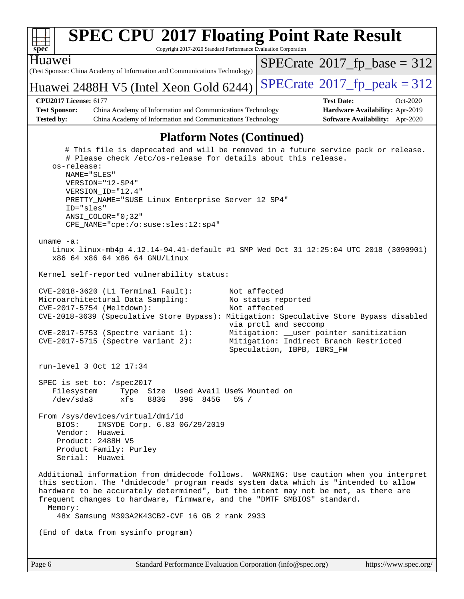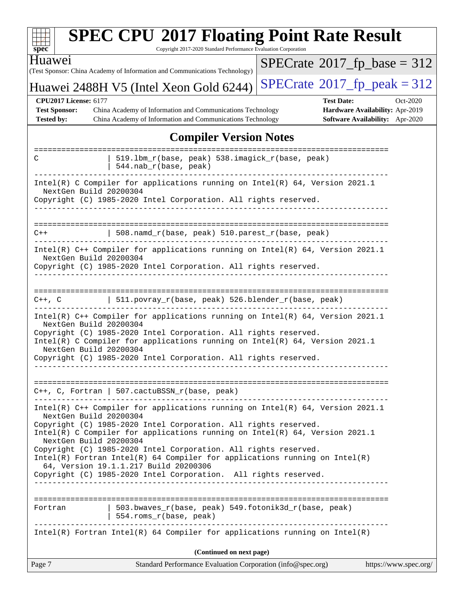| $spec^*$                                                        | <b>SPEC CPU®2017 Floating Point Rate Result</b><br>Copyright 2017-2020 Standard Performance Evaluation Corporation                                                                                                                                                                                                                                                                                                                                                                               |                                       |                                 |
|-----------------------------------------------------------------|--------------------------------------------------------------------------------------------------------------------------------------------------------------------------------------------------------------------------------------------------------------------------------------------------------------------------------------------------------------------------------------------------------------------------------------------------------------------------------------------------|---------------------------------------|---------------------------------|
| Huawei                                                          | (Test Sponsor: China Academy of Information and Communications Technology)                                                                                                                                                                                                                                                                                                                                                                                                                       | $SPECrate^{\circ}2017$ fp base = 312  |                                 |
|                                                                 | Huawei 2488H V5 (Intel Xeon Gold 6244)                                                                                                                                                                                                                                                                                                                                                                                                                                                           | $SPECrate^{\circ}2017$ _fp_peak = 312 |                                 |
| <b>CPU2017 License: 6177</b>                                    |                                                                                                                                                                                                                                                                                                                                                                                                                                                                                                  | <b>Test Date:</b>                     | Oct-2020                        |
| <b>Test Sponsor:</b>                                            | China Academy of Information and Communications Technology                                                                                                                                                                                                                                                                                                                                                                                                                                       |                                       | Hardware Availability: Apr-2019 |
| <b>Tested by:</b>                                               | China Academy of Information and Communications Technology                                                                                                                                                                                                                                                                                                                                                                                                                                       |                                       | Software Availability: Apr-2020 |
|                                                                 | <b>Compiler Version Notes</b>                                                                                                                                                                                                                                                                                                                                                                                                                                                                    |                                       |                                 |
| C                                                               | 519.1bm_r(base, peak) 538.imagick_r(base, peak)<br>544.nab_r(base, peak)                                                                                                                                                                                                                                                                                                                                                                                                                         |                                       |                                 |
| NextGen Build 20200304                                          | Intel(R) C Compiler for applications running on $Intel(R) 64$ , Version 2021.1<br>Copyright (C) 1985-2020 Intel Corporation. All rights reserved.                                                                                                                                                                                                                                                                                                                                                |                                       |                                 |
| $C++$                                                           | 508.namd_r(base, peak) 510.parest_r(base, peak)                                                                                                                                                                                                                                                                                                                                                                                                                                                  |                                       |                                 |
| NextGen Build 20200304                                          | Intel(R) C++ Compiler for applications running on Intel(R) 64, Version 2021.1<br>Copyright (C) 1985-2020 Intel Corporation. All rights reserved.                                                                                                                                                                                                                                                                                                                                                 |                                       |                                 |
| $C++$ , $C$<br>NextGen Build 20200304<br>NextGen Build 20200304 | 511.povray_r(base, peak) 526.blender_r(base, peak)<br>Intel(R) C++ Compiler for applications running on Intel(R) 64, Version 2021.1<br>Copyright (C) 1985-2020 Intel Corporation. All rights reserved.<br>Intel(R) C Compiler for applications running on $Intel(R) 64$ , Version 2021.1<br>Copyright (C) 1985-2020 Intel Corporation. All rights reserved.                                                                                                                                      |                                       |                                 |
|                                                                 | $C++$ , C, Fortran   507.cactuBSSN_r(base, peak)                                                                                                                                                                                                                                                                                                                                                                                                                                                 |                                       |                                 |
| NextGen Build 20200304<br>NextGen Build 20200304                | Intel(R) C++ Compiler for applications running on Intel(R) 64, Version 2021.1<br>Copyright (C) 1985-2020 Intel Corporation. All rights reserved.<br>Intel(R) C Compiler for applications running on $Intel(R)$ 64, Version 2021.1<br>Copyright (C) 1985-2020 Intel Corporation. All rights reserved.<br>$Intel(R)$ Fortran Intel(R) 64 Compiler for applications running on Intel(R)<br>64, Version 19.1.1.217 Build 20200306<br>Copyright (C) 1985-2020 Intel Corporation. All rights reserved. |                                       |                                 |
| Fortran                                                         | 503.bwaves_r(base, peak) 549.fotonik3d_r(base, peak)<br>554.roms_r(base, peak)                                                                                                                                                                                                                                                                                                                                                                                                                   |                                       |                                 |
|                                                                 | $Intel(R)$ Fortran Intel(R) 64 Compiler for applications running on Intel(R)                                                                                                                                                                                                                                                                                                                                                                                                                     |                                       |                                 |
|                                                                 | (Continued on next page)                                                                                                                                                                                                                                                                                                                                                                                                                                                                         |                                       |                                 |
| Page 7                                                          | Standard Performance Evaluation Corporation (info@spec.org)                                                                                                                                                                                                                                                                                                                                                                                                                                      |                                       | https://www.spec.org/           |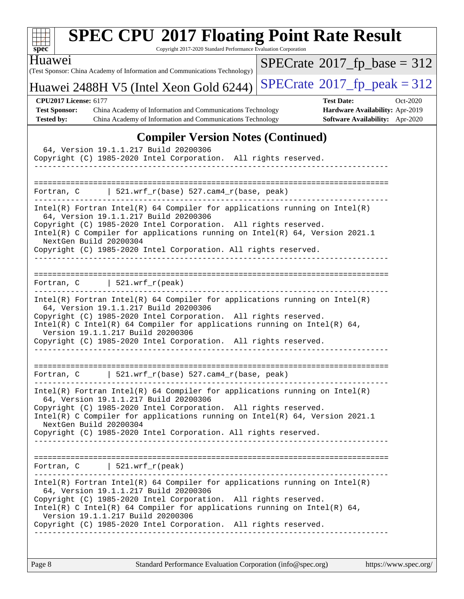| <b>SPEC CPU®2017 Floating Point Rate Result</b><br>Copyright 2017-2020 Standard Performance Evaluation Corporation<br>$spec^*$                                                                                                                                                                                                                                                                                 |                                                                                                     |
|----------------------------------------------------------------------------------------------------------------------------------------------------------------------------------------------------------------------------------------------------------------------------------------------------------------------------------------------------------------------------------------------------------------|-----------------------------------------------------------------------------------------------------|
| <b>Huawei</b><br>(Test Sponsor: China Academy of Information and Communications Technology)                                                                                                                                                                                                                                                                                                                    | $SPECrate^{\circledast}2017$ fp base = 312                                                          |
| Huawei 2488H V5 (Intel Xeon Gold 6244)                                                                                                                                                                                                                                                                                                                                                                         | $SPECTate@2017fr peak = 312$                                                                        |
| <b>CPU2017 License: 6177</b><br><b>Test Sponsor:</b><br>China Academy of Information and Communications Technology<br>Tested by:<br>China Academy of Information and Communications Technology                                                                                                                                                                                                                 | <b>Test Date:</b><br>Oct-2020<br>Hardware Availability: Apr-2019<br>Software Availability: Apr-2020 |
| <b>Compiler Version Notes (Continued)</b><br>64, Version 19.1.1.217 Build 20200306<br>Copyright (C) 1985-2020 Intel Corporation. All rights reserved.<br>____________________________________                                                                                                                                                                                                                  |                                                                                                     |
| Fortran, C $\vert$ 521.wrf_r(base) 527.cam4_r(base, peak)                                                                                                                                                                                                                                                                                                                                                      |                                                                                                     |
| Intel(R) Fortran Intel(R) 64 Compiler for applications running on $Intel(R)$<br>64, Version 19.1.1.217 Build 20200306<br>Copyright (C) 1985-2020 Intel Corporation. All rights reserved.<br>Intel(R) C Compiler for applications running on $Intel(R) 64$ , Version 2021.1<br>NextGen Build 20200304<br>Copyright (C) 1985-2020 Intel Corporation. All rights reserved.                                        |                                                                                                     |
| Fortran, $C$   521.wrf_r(peak)<br>$Intel(R)$ Fortran Intel(R) 64 Compiler for applications running on Intel(R)<br>64, Version 19.1.1.217 Build 20200306<br>Copyright (C) 1985-2020 Intel Corporation. All rights reserved.<br>Intel(R) C Intel(R) 64 Compiler for applications running on Intel(R) 64,<br>Version 19.1.1.217 Build 20200306<br>Copyright (C) 1985-2020 Intel Corporation. All rights reserved. |                                                                                                     |
| 521.wrf_r(base) 527.cam4_r(base, peak)<br>Fortran, C<br>$Intel(R)$ Fortran Intel(R) 64 Compiler for applications running on Intel(R)                                                                                                                                                                                                                                                                           |                                                                                                     |
| 64, Version 19.1.1.217 Build 20200306<br>Copyright (C) 1985-2020 Intel Corporation. All rights reserved.<br>Intel(R) C Compiler for applications running on $Intel(R) 64$ , Version 2021.1<br>NextGen Build 20200304<br>Copyright (C) 1985-2020 Intel Corporation. All rights reserved.                                                                                                                        |                                                                                                     |
| Fortran, $C$   521.wrf_r(peak)                                                                                                                                                                                                                                                                                                                                                                                 |                                                                                                     |
| $Intel(R)$ Fortran Intel(R) 64 Compiler for applications running on Intel(R)<br>64, Version 19.1.1.217 Build 20200306<br>Copyright (C) 1985-2020 Intel Corporation. All rights reserved.<br>Intel(R) C Intel(R) 64 Compiler for applications running on Intel(R) 64,<br>Version 19.1.1.217 Build 20200306<br>Copyright (C) 1985-2020 Intel Corporation. All rights reserved.<br>_____________________          |                                                                                                     |
|                                                                                                                                                                                                                                                                                                                                                                                                                |                                                                                                     |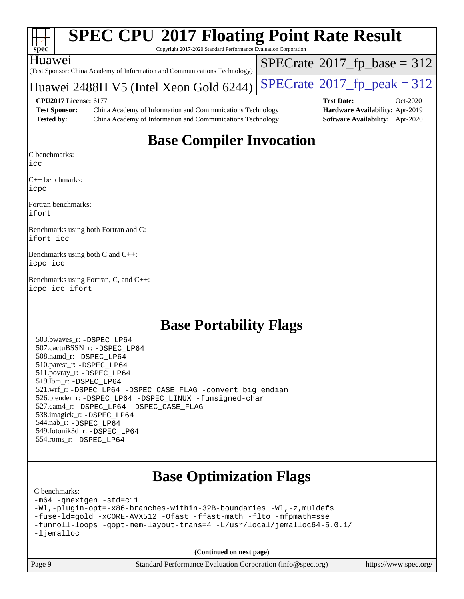| S.<br>æ<br>ш<br>L. |  |  |  |  |  |  |  |
|--------------------|--|--|--|--|--|--|--|

 $SPECTate$ <sup>®</sup>[2017\\_fp\\_base =](http://www.spec.org/auto/cpu2017/Docs/result-fields.html#SPECrate2017fpbase) 312

Copyright 2017-2020 Standard Performance Evaluation Corporation

(Test Sponsor: China Academy of Information and Communications Technology) Huawei

## Huawei 2488H V5 (Intel Xeon Gold 6244) [SPECrate](http://www.spec.org/auto/cpu2017/Docs/result-fields.html#SPECrate2017fppeak)®2017\_fp\_peak =  $312$

**[CPU2017 License:](http://www.spec.org/auto/cpu2017/Docs/result-fields.html#CPU2017License)** 6177 **[Test Date:](http://www.spec.org/auto/cpu2017/Docs/result-fields.html#TestDate)** Oct-2020 **[Test Sponsor:](http://www.spec.org/auto/cpu2017/Docs/result-fields.html#TestSponsor)** China Academy of Information and Communications Technology **[Hardware Availability:](http://www.spec.org/auto/cpu2017/Docs/result-fields.html#HardwareAvailability)** Apr-2019 **[Tested by:](http://www.spec.org/auto/cpu2017/Docs/result-fields.html#Testedby)** China Academy of Information and Communications Technology **[Software Availability:](http://www.spec.org/auto/cpu2017/Docs/result-fields.html#SoftwareAvailability)** Apr-2020

## **[Base Compiler Invocation](http://www.spec.org/auto/cpu2017/Docs/result-fields.html#BaseCompilerInvocation)**

[C benchmarks](http://www.spec.org/auto/cpu2017/Docs/result-fields.html#Cbenchmarks):

[icc](http://www.spec.org/cpu2017/results/res2020q4/cpu2017-20201012-24170.flags.html#user_CCbase_intel_icc_66fc1ee009f7361af1fbd72ca7dcefbb700085f36577c54f309893dd4ec40d12360134090235512931783d35fd58c0460139e722d5067c5574d8eaf2b3e37e92)

[C++ benchmarks](http://www.spec.org/auto/cpu2017/Docs/result-fields.html#CXXbenchmarks): [icpc](http://www.spec.org/cpu2017/results/res2020q4/cpu2017-20201012-24170.flags.html#user_CXXbase_intel_icpc_c510b6838c7f56d33e37e94d029a35b4a7bccf4766a728ee175e80a419847e808290a9b78be685c44ab727ea267ec2f070ec5dc83b407c0218cded6866a35d07)

[Fortran benchmarks:](http://www.spec.org/auto/cpu2017/Docs/result-fields.html#Fortranbenchmarks) [ifort](http://www.spec.org/cpu2017/results/res2020q4/cpu2017-20201012-24170.flags.html#user_FCbase_intel_ifort_8111460550e3ca792625aed983ce982f94888b8b503583aa7ba2b8303487b4d8a21a13e7191a45c5fd58ff318f48f9492884d4413fa793fd88dd292cad7027ca)

[Benchmarks using both Fortran and C](http://www.spec.org/auto/cpu2017/Docs/result-fields.html#BenchmarksusingbothFortranandC): [ifort](http://www.spec.org/cpu2017/results/res2020q4/cpu2017-20201012-24170.flags.html#user_CC_FCbase_intel_ifort_8111460550e3ca792625aed983ce982f94888b8b503583aa7ba2b8303487b4d8a21a13e7191a45c5fd58ff318f48f9492884d4413fa793fd88dd292cad7027ca) [icc](http://www.spec.org/cpu2017/results/res2020q4/cpu2017-20201012-24170.flags.html#user_CC_FCbase_intel_icc_66fc1ee009f7361af1fbd72ca7dcefbb700085f36577c54f309893dd4ec40d12360134090235512931783d35fd58c0460139e722d5067c5574d8eaf2b3e37e92)

[Benchmarks using both C and C++:](http://www.spec.org/auto/cpu2017/Docs/result-fields.html#BenchmarksusingbothCandCXX) [icpc](http://www.spec.org/cpu2017/results/res2020q4/cpu2017-20201012-24170.flags.html#user_CC_CXXbase_intel_icpc_c510b6838c7f56d33e37e94d029a35b4a7bccf4766a728ee175e80a419847e808290a9b78be685c44ab727ea267ec2f070ec5dc83b407c0218cded6866a35d07) [icc](http://www.spec.org/cpu2017/results/res2020q4/cpu2017-20201012-24170.flags.html#user_CC_CXXbase_intel_icc_66fc1ee009f7361af1fbd72ca7dcefbb700085f36577c54f309893dd4ec40d12360134090235512931783d35fd58c0460139e722d5067c5574d8eaf2b3e37e92)

[Benchmarks using Fortran, C, and C++](http://www.spec.org/auto/cpu2017/Docs/result-fields.html#BenchmarksusingFortranCandCXX): [icpc](http://www.spec.org/cpu2017/results/res2020q4/cpu2017-20201012-24170.flags.html#user_CC_CXX_FCbase_intel_icpc_c510b6838c7f56d33e37e94d029a35b4a7bccf4766a728ee175e80a419847e808290a9b78be685c44ab727ea267ec2f070ec5dc83b407c0218cded6866a35d07) [icc](http://www.spec.org/cpu2017/results/res2020q4/cpu2017-20201012-24170.flags.html#user_CC_CXX_FCbase_intel_icc_66fc1ee009f7361af1fbd72ca7dcefbb700085f36577c54f309893dd4ec40d12360134090235512931783d35fd58c0460139e722d5067c5574d8eaf2b3e37e92) [ifort](http://www.spec.org/cpu2017/results/res2020q4/cpu2017-20201012-24170.flags.html#user_CC_CXX_FCbase_intel_ifort_8111460550e3ca792625aed983ce982f94888b8b503583aa7ba2b8303487b4d8a21a13e7191a45c5fd58ff318f48f9492884d4413fa793fd88dd292cad7027ca)

## **[Base Portability Flags](http://www.spec.org/auto/cpu2017/Docs/result-fields.html#BasePortabilityFlags)**

 503.bwaves\_r: [-DSPEC\\_LP64](http://www.spec.org/cpu2017/results/res2020q4/cpu2017-20201012-24170.flags.html#suite_basePORTABILITY503_bwaves_r_DSPEC_LP64) 507.cactuBSSN\_r: [-DSPEC\\_LP64](http://www.spec.org/cpu2017/results/res2020q4/cpu2017-20201012-24170.flags.html#suite_basePORTABILITY507_cactuBSSN_r_DSPEC_LP64) 508.namd\_r: [-DSPEC\\_LP64](http://www.spec.org/cpu2017/results/res2020q4/cpu2017-20201012-24170.flags.html#suite_basePORTABILITY508_namd_r_DSPEC_LP64) 510.parest\_r: [-DSPEC\\_LP64](http://www.spec.org/cpu2017/results/res2020q4/cpu2017-20201012-24170.flags.html#suite_basePORTABILITY510_parest_r_DSPEC_LP64) 511.povray\_r: [-DSPEC\\_LP64](http://www.spec.org/cpu2017/results/res2020q4/cpu2017-20201012-24170.flags.html#suite_basePORTABILITY511_povray_r_DSPEC_LP64) 519.lbm\_r: [-DSPEC\\_LP64](http://www.spec.org/cpu2017/results/res2020q4/cpu2017-20201012-24170.flags.html#suite_basePORTABILITY519_lbm_r_DSPEC_LP64) 521.wrf\_r: [-DSPEC\\_LP64](http://www.spec.org/cpu2017/results/res2020q4/cpu2017-20201012-24170.flags.html#suite_basePORTABILITY521_wrf_r_DSPEC_LP64) [-DSPEC\\_CASE\\_FLAG](http://www.spec.org/cpu2017/results/res2020q4/cpu2017-20201012-24170.flags.html#b521.wrf_r_baseCPORTABILITY_DSPEC_CASE_FLAG) [-convert big\\_endian](http://www.spec.org/cpu2017/results/res2020q4/cpu2017-20201012-24170.flags.html#user_baseFPORTABILITY521_wrf_r_convert_big_endian_c3194028bc08c63ac5d04de18c48ce6d347e4e562e8892b8bdbdc0214820426deb8554edfa529a3fb25a586e65a3d812c835984020483e7e73212c4d31a38223) 526.blender\_r: [-DSPEC\\_LP64](http://www.spec.org/cpu2017/results/res2020q4/cpu2017-20201012-24170.flags.html#suite_basePORTABILITY526_blender_r_DSPEC_LP64) [-DSPEC\\_LINUX](http://www.spec.org/cpu2017/results/res2020q4/cpu2017-20201012-24170.flags.html#b526.blender_r_baseCPORTABILITY_DSPEC_LINUX) [-funsigned-char](http://www.spec.org/cpu2017/results/res2020q4/cpu2017-20201012-24170.flags.html#user_baseCPORTABILITY526_blender_r_force_uchar_40c60f00ab013830e2dd6774aeded3ff59883ba5a1fc5fc14077f794d777847726e2a5858cbc7672e36e1b067e7e5c1d9a74f7176df07886a243d7cc18edfe67) 527.cam4\_r: [-DSPEC\\_LP64](http://www.spec.org/cpu2017/results/res2020q4/cpu2017-20201012-24170.flags.html#suite_basePORTABILITY527_cam4_r_DSPEC_LP64) [-DSPEC\\_CASE\\_FLAG](http://www.spec.org/cpu2017/results/res2020q4/cpu2017-20201012-24170.flags.html#b527.cam4_r_baseCPORTABILITY_DSPEC_CASE_FLAG) 538.imagick\_r: [-DSPEC\\_LP64](http://www.spec.org/cpu2017/results/res2020q4/cpu2017-20201012-24170.flags.html#suite_basePORTABILITY538_imagick_r_DSPEC_LP64) 544.nab\_r: [-DSPEC\\_LP64](http://www.spec.org/cpu2017/results/res2020q4/cpu2017-20201012-24170.flags.html#suite_basePORTABILITY544_nab_r_DSPEC_LP64) 549.fotonik3d\_r: [-DSPEC\\_LP64](http://www.spec.org/cpu2017/results/res2020q4/cpu2017-20201012-24170.flags.html#suite_basePORTABILITY549_fotonik3d_r_DSPEC_LP64) 554.roms\_r: [-DSPEC\\_LP64](http://www.spec.org/cpu2017/results/res2020q4/cpu2017-20201012-24170.flags.html#suite_basePORTABILITY554_roms_r_DSPEC_LP64)

## **[Base Optimization Flags](http://www.spec.org/auto/cpu2017/Docs/result-fields.html#BaseOptimizationFlags)**

#### [C benchmarks](http://www.spec.org/auto/cpu2017/Docs/result-fields.html#Cbenchmarks):

[-m64](http://www.spec.org/cpu2017/results/res2020q4/cpu2017-20201012-24170.flags.html#user_CCbase_m64-icc) [-qnextgen](http://www.spec.org/cpu2017/results/res2020q4/cpu2017-20201012-24170.flags.html#user_CCbase_f-qnextgen) [-std=c11](http://www.spec.org/cpu2017/results/res2020q4/cpu2017-20201012-24170.flags.html#user_CCbase_std-icc-std_0e1c27790398a4642dfca32ffe6c27b5796f9c2d2676156f2e42c9c44eaad0c049b1cdb667a270c34d979996257aeb8fc440bfb01818dbc9357bd9d174cb8524) [-Wl,-plugin-opt=-x86-branches-within-32B-boundaries](http://www.spec.org/cpu2017/results/res2020q4/cpu2017-20201012-24170.flags.html#user_CCbase_f-x86-branches-within-32B-boundaries_0098b4e4317ae60947b7b728078a624952a08ac37a3c797dfb4ffeb399e0c61a9dd0f2f44ce917e9361fb9076ccb15e7824594512dd315205382d84209e912f3) [-Wl,-z,muldefs](http://www.spec.org/cpu2017/results/res2020q4/cpu2017-20201012-24170.flags.html#user_CCbase_link_force_multiple1_b4cbdb97b34bdee9ceefcfe54f4c8ea74255f0b02a4b23e853cdb0e18eb4525ac79b5a88067c842dd0ee6996c24547a27a4b99331201badda8798ef8a743f577) [-fuse-ld=gold](http://www.spec.org/cpu2017/results/res2020q4/cpu2017-20201012-24170.flags.html#user_CCbase_f-fuse-ld_920b3586e2b8c6e0748b9c84fa9b744736ba725a32cab14ad8f3d4ad28eecb2f59d1144823d2e17006539a88734fe1fc08fc3035f7676166309105a78aaabc32) [-xCORE-AVX512](http://www.spec.org/cpu2017/results/res2020q4/cpu2017-20201012-24170.flags.html#user_CCbase_f-xCORE-AVX512) [-Ofast](http://www.spec.org/cpu2017/results/res2020q4/cpu2017-20201012-24170.flags.html#user_CCbase_f-Ofast) [-ffast-math](http://www.spec.org/cpu2017/results/res2020q4/cpu2017-20201012-24170.flags.html#user_CCbase_f-ffast-math) [-flto](http://www.spec.org/cpu2017/results/res2020q4/cpu2017-20201012-24170.flags.html#user_CCbase_f-flto) [-mfpmath=sse](http://www.spec.org/cpu2017/results/res2020q4/cpu2017-20201012-24170.flags.html#user_CCbase_f-mfpmath_70eb8fac26bde974f8ab713bc9086c5621c0b8d2f6c86f38af0bd7062540daf19db5f3a066d8c6684be05d84c9b6322eb3b5be6619d967835195b93d6c02afa1) [-funroll-loops](http://www.spec.org/cpu2017/results/res2020q4/cpu2017-20201012-24170.flags.html#user_CCbase_f-funroll-loops) [-qopt-mem-layout-trans=4](http://www.spec.org/cpu2017/results/res2020q4/cpu2017-20201012-24170.flags.html#user_CCbase_f-qopt-mem-layout-trans_fa39e755916c150a61361b7846f310bcdf6f04e385ef281cadf3647acec3f0ae266d1a1d22d972a7087a248fd4e6ca390a3634700869573d231a252c784941a8) [-L/usr/local/jemalloc64-5.0.1/](http://www.spec.org/cpu2017/results/res2020q4/cpu2017-20201012-24170.flags.html#user_CCbase_jemalloc_link_path64_1_7ef78e948e26f16679f66279b8b3f63c04c9803b9e8787420a99cca8bda14a41adf28ce5417d152fa73cc6ac5779a3e22f3d8249efa1649e07fa83494079cd98) [-ljemalloc](http://www.spec.org/cpu2017/results/res2020q4/cpu2017-20201012-24170.flags.html#user_CCbase_jemalloc_link_lib_d1249b907c500fa1c0672f44f562e3d0f79738ae9e3c4a9c376d49f265a04b9c99b167ecedbf6711b3085be911c67ff61f150a17b3472be731631ba4d0471706)

**(Continued on next page)**



Page 9 Standard Performance Evaluation Corporation [\(info@spec.org\)](mailto:info@spec.org) <https://www.spec.org/>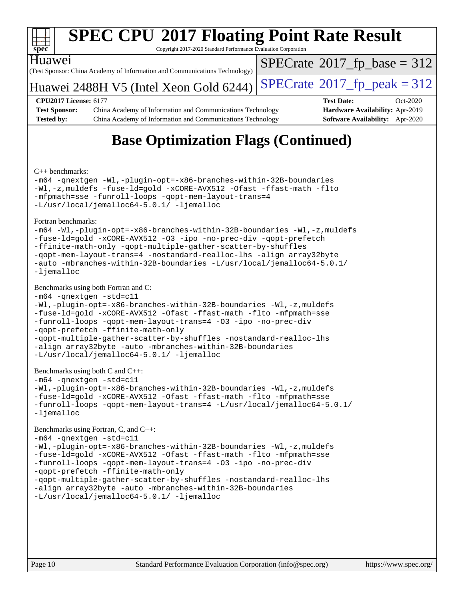

Copyright 2017-2020 Standard Performance Evaluation Corporation

#### Huawei

(Test Sponsor: China Academy of Information and Communications Technology)

Huawei 2488H V5 (Intel Xeon Gold 6244) [SPECrate](http://www.spec.org/auto/cpu2017/Docs/result-fields.html#SPECrate2017fppeak)®2017\_fp\_peak =  $312$ 

 $SPECTate$ <sup>®</sup>[2017\\_fp\\_base =](http://www.spec.org/auto/cpu2017/Docs/result-fields.html#SPECrate2017fpbase) 312

**[Test Sponsor:](http://www.spec.org/auto/cpu2017/Docs/result-fields.html#TestSponsor)** China Academy of Information and Communications Technology **[Hardware Availability:](http://www.spec.org/auto/cpu2017/Docs/result-fields.html#HardwareAvailability)** Apr-2019 **[Tested by:](http://www.spec.org/auto/cpu2017/Docs/result-fields.html#Testedby)** China Academy of Information and Communications Technology **[Software Availability:](http://www.spec.org/auto/cpu2017/Docs/result-fields.html#SoftwareAvailability)** Apr-2020

**[CPU2017 License:](http://www.spec.org/auto/cpu2017/Docs/result-fields.html#CPU2017License)** 6177 **[Test Date:](http://www.spec.org/auto/cpu2017/Docs/result-fields.html#TestDate)** Oct-2020

## **[Base Optimization Flags \(Continued\)](http://www.spec.org/auto/cpu2017/Docs/result-fields.html#BaseOptimizationFlags)**

[C++ benchmarks:](http://www.spec.org/auto/cpu2017/Docs/result-fields.html#CXXbenchmarks)

[-m64](http://www.spec.org/cpu2017/results/res2020q4/cpu2017-20201012-24170.flags.html#user_CXXbase_m64-icc) [-qnextgen](http://www.spec.org/cpu2017/results/res2020q4/cpu2017-20201012-24170.flags.html#user_CXXbase_f-qnextgen) [-Wl,-plugin-opt=-x86-branches-within-32B-boundaries](http://www.spec.org/cpu2017/results/res2020q4/cpu2017-20201012-24170.flags.html#user_CXXbase_f-x86-branches-within-32B-boundaries_0098b4e4317ae60947b7b728078a624952a08ac37a3c797dfb4ffeb399e0c61a9dd0f2f44ce917e9361fb9076ccb15e7824594512dd315205382d84209e912f3) [-Wl,-z,muldefs](http://www.spec.org/cpu2017/results/res2020q4/cpu2017-20201012-24170.flags.html#user_CXXbase_link_force_multiple1_b4cbdb97b34bdee9ceefcfe54f4c8ea74255f0b02a4b23e853cdb0e18eb4525ac79b5a88067c842dd0ee6996c24547a27a4b99331201badda8798ef8a743f577) [-fuse-ld=gold](http://www.spec.org/cpu2017/results/res2020q4/cpu2017-20201012-24170.flags.html#user_CXXbase_f-fuse-ld_920b3586e2b8c6e0748b9c84fa9b744736ba725a32cab14ad8f3d4ad28eecb2f59d1144823d2e17006539a88734fe1fc08fc3035f7676166309105a78aaabc32) [-xCORE-AVX512](http://www.spec.org/cpu2017/results/res2020q4/cpu2017-20201012-24170.flags.html#user_CXXbase_f-xCORE-AVX512) [-Ofast](http://www.spec.org/cpu2017/results/res2020q4/cpu2017-20201012-24170.flags.html#user_CXXbase_f-Ofast) [-ffast-math](http://www.spec.org/cpu2017/results/res2020q4/cpu2017-20201012-24170.flags.html#user_CXXbase_f-ffast-math) [-flto](http://www.spec.org/cpu2017/results/res2020q4/cpu2017-20201012-24170.flags.html#user_CXXbase_f-flto) [-mfpmath=sse](http://www.spec.org/cpu2017/results/res2020q4/cpu2017-20201012-24170.flags.html#user_CXXbase_f-mfpmath_70eb8fac26bde974f8ab713bc9086c5621c0b8d2f6c86f38af0bd7062540daf19db5f3a066d8c6684be05d84c9b6322eb3b5be6619d967835195b93d6c02afa1) [-funroll-loops](http://www.spec.org/cpu2017/results/res2020q4/cpu2017-20201012-24170.flags.html#user_CXXbase_f-funroll-loops) [-qopt-mem-layout-trans=4](http://www.spec.org/cpu2017/results/res2020q4/cpu2017-20201012-24170.flags.html#user_CXXbase_f-qopt-mem-layout-trans_fa39e755916c150a61361b7846f310bcdf6f04e385ef281cadf3647acec3f0ae266d1a1d22d972a7087a248fd4e6ca390a3634700869573d231a252c784941a8) [-L/usr/local/jemalloc64-5.0.1/](http://www.spec.org/cpu2017/results/res2020q4/cpu2017-20201012-24170.flags.html#user_CXXbase_jemalloc_link_path64_1_7ef78e948e26f16679f66279b8b3f63c04c9803b9e8787420a99cca8bda14a41adf28ce5417d152fa73cc6ac5779a3e22f3d8249efa1649e07fa83494079cd98) [-ljemalloc](http://www.spec.org/cpu2017/results/res2020q4/cpu2017-20201012-24170.flags.html#user_CXXbase_jemalloc_link_lib_d1249b907c500fa1c0672f44f562e3d0f79738ae9e3c4a9c376d49f265a04b9c99b167ecedbf6711b3085be911c67ff61f150a17b3472be731631ba4d0471706)

[Fortran benchmarks](http://www.spec.org/auto/cpu2017/Docs/result-fields.html#Fortranbenchmarks):

[-m64](http://www.spec.org/cpu2017/results/res2020q4/cpu2017-20201012-24170.flags.html#user_FCbase_m64-icc) [-Wl,-plugin-opt=-x86-branches-within-32B-boundaries](http://www.spec.org/cpu2017/results/res2020q4/cpu2017-20201012-24170.flags.html#user_FCbase_f-x86-branches-within-32B-boundaries_0098b4e4317ae60947b7b728078a624952a08ac37a3c797dfb4ffeb399e0c61a9dd0f2f44ce917e9361fb9076ccb15e7824594512dd315205382d84209e912f3) [-Wl,-z,muldefs](http://www.spec.org/cpu2017/results/res2020q4/cpu2017-20201012-24170.flags.html#user_FCbase_link_force_multiple1_b4cbdb97b34bdee9ceefcfe54f4c8ea74255f0b02a4b23e853cdb0e18eb4525ac79b5a88067c842dd0ee6996c24547a27a4b99331201badda8798ef8a743f577) [-fuse-ld=gold](http://www.spec.org/cpu2017/results/res2020q4/cpu2017-20201012-24170.flags.html#user_FCbase_f-fuse-ld_920b3586e2b8c6e0748b9c84fa9b744736ba725a32cab14ad8f3d4ad28eecb2f59d1144823d2e17006539a88734fe1fc08fc3035f7676166309105a78aaabc32) [-xCORE-AVX512](http://www.spec.org/cpu2017/results/res2020q4/cpu2017-20201012-24170.flags.html#user_FCbase_f-xCORE-AVX512) [-O3](http://www.spec.org/cpu2017/results/res2020q4/cpu2017-20201012-24170.flags.html#user_FCbase_f-O3) [-ipo](http://www.spec.org/cpu2017/results/res2020q4/cpu2017-20201012-24170.flags.html#user_FCbase_f-ipo) [-no-prec-div](http://www.spec.org/cpu2017/results/res2020q4/cpu2017-20201012-24170.flags.html#user_FCbase_f-no-prec-div) [-qopt-prefetch](http://www.spec.org/cpu2017/results/res2020q4/cpu2017-20201012-24170.flags.html#user_FCbase_f-qopt-prefetch) [-ffinite-math-only](http://www.spec.org/cpu2017/results/res2020q4/cpu2017-20201012-24170.flags.html#user_FCbase_f_finite_math_only_cb91587bd2077682c4b38af759c288ed7c732db004271a9512da14a4f8007909a5f1427ecbf1a0fb78ff2a814402c6114ac565ca162485bbcae155b5e4258871) [-qopt-multiple-gather-scatter-by-shuffles](http://www.spec.org/cpu2017/results/res2020q4/cpu2017-20201012-24170.flags.html#user_FCbase_f-qopt-multiple-gather-scatter-by-shuffles) [-qopt-mem-layout-trans=4](http://www.spec.org/cpu2017/results/res2020q4/cpu2017-20201012-24170.flags.html#user_FCbase_f-qopt-mem-layout-trans_fa39e755916c150a61361b7846f310bcdf6f04e385ef281cadf3647acec3f0ae266d1a1d22d972a7087a248fd4e6ca390a3634700869573d231a252c784941a8) [-nostandard-realloc-lhs](http://www.spec.org/cpu2017/results/res2020q4/cpu2017-20201012-24170.flags.html#user_FCbase_f_2003_std_realloc_82b4557e90729c0f113870c07e44d33d6f5a304b4f63d4c15d2d0f1fab99f5daaed73bdb9275d9ae411527f28b936061aa8b9c8f2d63842963b95c9dd6426b8a) [-align array32byte](http://www.spec.org/cpu2017/results/res2020q4/cpu2017-20201012-24170.flags.html#user_FCbase_align_array32byte_b982fe038af199962ba9a80c053b8342c548c85b40b8e86eb3cc33dee0d7986a4af373ac2d51c3f7cf710a18d62fdce2948f201cd044323541f22fc0fffc51b6) [-auto](http://www.spec.org/cpu2017/results/res2020q4/cpu2017-20201012-24170.flags.html#user_FCbase_f-auto) [-mbranches-within-32B-boundaries](http://www.spec.org/cpu2017/results/res2020q4/cpu2017-20201012-24170.flags.html#user_FCbase_f-mbranches-within-32B-boundaries) [-L/usr/local/jemalloc64-5.0.1/](http://www.spec.org/cpu2017/results/res2020q4/cpu2017-20201012-24170.flags.html#user_FCbase_jemalloc_link_path64_1_7ef78e948e26f16679f66279b8b3f63c04c9803b9e8787420a99cca8bda14a41adf28ce5417d152fa73cc6ac5779a3e22f3d8249efa1649e07fa83494079cd98) [-ljemalloc](http://www.spec.org/cpu2017/results/res2020q4/cpu2017-20201012-24170.flags.html#user_FCbase_jemalloc_link_lib_d1249b907c500fa1c0672f44f562e3d0f79738ae9e3c4a9c376d49f265a04b9c99b167ecedbf6711b3085be911c67ff61f150a17b3472be731631ba4d0471706)

#### [Benchmarks using both Fortran and C](http://www.spec.org/auto/cpu2017/Docs/result-fields.html#BenchmarksusingbothFortranandC):

```
-m64 -qnextgen -std=c11
-Wl,-plugin-opt=-x86-branches-within-32B-boundaries -Wl,-z,muldefs
-fuse-ld=gold -xCORE-AVX512 -Ofast -ffast-math -flto -mfpmath=sse
-funroll-loops -qopt-mem-layout-trans=4 -O3 -ipo -no-prec-div
-qopt-prefetch -ffinite-math-only
-qopt-multiple-gather-scatter-by-shuffles -nostandard-realloc-lhs
-align array32byte -auto -mbranches-within-32B-boundaries
-L/usr/local/jemalloc64-5.0.1/ -ljemalloc
```
[Benchmarks using both C and C++](http://www.spec.org/auto/cpu2017/Docs/result-fields.html#BenchmarksusingbothCandCXX):

[-m64](http://www.spec.org/cpu2017/results/res2020q4/cpu2017-20201012-24170.flags.html#user_CC_CXXbase_m64-icc) [-qnextgen](http://www.spec.org/cpu2017/results/res2020q4/cpu2017-20201012-24170.flags.html#user_CC_CXXbase_f-qnextgen) [-std=c11](http://www.spec.org/cpu2017/results/res2020q4/cpu2017-20201012-24170.flags.html#user_CC_CXXbase_std-icc-std_0e1c27790398a4642dfca32ffe6c27b5796f9c2d2676156f2e42c9c44eaad0c049b1cdb667a270c34d979996257aeb8fc440bfb01818dbc9357bd9d174cb8524)

```
-Wl,-plugin-opt=-x86-branches-within-32B-boundaries -Wl,-z,muldefs
-fuse-ld=gold -xCORE-AVX512 -Ofast -ffast-math -flto -mfpmath=sse
-funroll-loops -qopt-mem-layout-trans=4 -L/usr/local/jemalloc64-5.0.1/
-ljemalloc
```
#### [Benchmarks using Fortran, C, and C++:](http://www.spec.org/auto/cpu2017/Docs/result-fields.html#BenchmarksusingFortranCandCXX)

```
-m64 -qnextgen -std=c11
-Wl,-plugin-opt=-x86-branches-within-32B-boundaries -Wl,-z,muldefs
-fuse-ld=gold -xCORE-AVX512 -Ofast -ffast-math -flto -mfpmath=sse
-funroll-loops -qopt-mem-layout-trans=4 -O3 -ipo -no-prec-div
-qopt-prefetch -ffinite-math-only
-qopt-multiple-gather-scatter-by-shuffles -nostandard-realloc-lhs
-align array32byte -auto -mbranches-within-32B-boundaries
-L/usr/local/jemalloc64-5.0.1/ -ljemalloc
```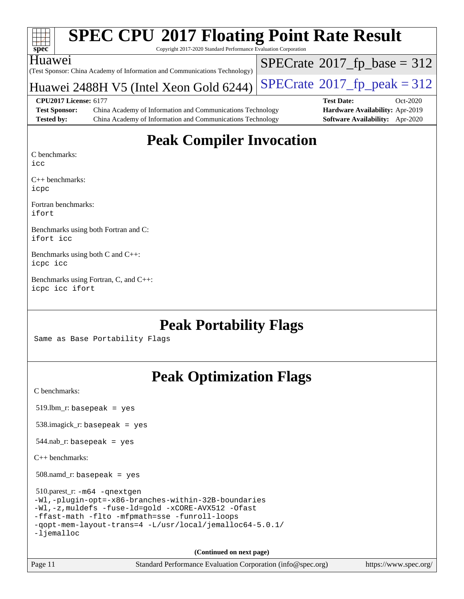| S)<br>e<br>ш<br>Ľ |  |  |  |  |  |  |  |
|-------------------|--|--|--|--|--|--|--|

 $SPECrate$ <sup>®</sup>[2017\\_fp\\_base =](http://www.spec.org/auto/cpu2017/Docs/result-fields.html#SPECrate2017fpbase) 312

Copyright 2017-2020 Standard Performance Evaluation Corporation

(Test Sponsor: China Academy of Information and Communications Technology) Huawei

## Huawei 2488H V5 (Intel Xeon Gold 6244) [SPECrate](http://www.spec.org/auto/cpu2017/Docs/result-fields.html#SPECrate2017fppeak)®2017\_fp\_peak =  $312$

**[CPU2017 License:](http://www.spec.org/auto/cpu2017/Docs/result-fields.html#CPU2017License)** 6177 **[Test Date:](http://www.spec.org/auto/cpu2017/Docs/result-fields.html#TestDate)** Oct-2020 **[Test Sponsor:](http://www.spec.org/auto/cpu2017/Docs/result-fields.html#TestSponsor)** China Academy of Information and Communications Technology **[Hardware Availability:](http://www.spec.org/auto/cpu2017/Docs/result-fields.html#HardwareAvailability)** Apr-2019 **[Tested by:](http://www.spec.org/auto/cpu2017/Docs/result-fields.html#Testedby)** China Academy of Information and Communications Technology **[Software Availability:](http://www.spec.org/auto/cpu2017/Docs/result-fields.html#SoftwareAvailability)** Apr-2020

## **[Peak Compiler Invocation](http://www.spec.org/auto/cpu2017/Docs/result-fields.html#PeakCompilerInvocation)**

[C benchmarks:](http://www.spec.org/auto/cpu2017/Docs/result-fields.html#Cbenchmarks)

[icc](http://www.spec.org/cpu2017/results/res2020q4/cpu2017-20201012-24170.flags.html#user_CCpeak_intel_icc_66fc1ee009f7361af1fbd72ca7dcefbb700085f36577c54f309893dd4ec40d12360134090235512931783d35fd58c0460139e722d5067c5574d8eaf2b3e37e92)

[C++ benchmarks](http://www.spec.org/auto/cpu2017/Docs/result-fields.html#CXXbenchmarks): [icpc](http://www.spec.org/cpu2017/results/res2020q4/cpu2017-20201012-24170.flags.html#user_CXXpeak_intel_icpc_c510b6838c7f56d33e37e94d029a35b4a7bccf4766a728ee175e80a419847e808290a9b78be685c44ab727ea267ec2f070ec5dc83b407c0218cded6866a35d07)

[Fortran benchmarks:](http://www.spec.org/auto/cpu2017/Docs/result-fields.html#Fortranbenchmarks) [ifort](http://www.spec.org/cpu2017/results/res2020q4/cpu2017-20201012-24170.flags.html#user_FCpeak_intel_ifort_8111460550e3ca792625aed983ce982f94888b8b503583aa7ba2b8303487b4d8a21a13e7191a45c5fd58ff318f48f9492884d4413fa793fd88dd292cad7027ca)

[Benchmarks using both Fortran and C:](http://www.spec.org/auto/cpu2017/Docs/result-fields.html#BenchmarksusingbothFortranandC) [ifort](http://www.spec.org/cpu2017/results/res2020q4/cpu2017-20201012-24170.flags.html#user_CC_FCpeak_intel_ifort_8111460550e3ca792625aed983ce982f94888b8b503583aa7ba2b8303487b4d8a21a13e7191a45c5fd58ff318f48f9492884d4413fa793fd88dd292cad7027ca) [icc](http://www.spec.org/cpu2017/results/res2020q4/cpu2017-20201012-24170.flags.html#user_CC_FCpeak_intel_icc_66fc1ee009f7361af1fbd72ca7dcefbb700085f36577c54f309893dd4ec40d12360134090235512931783d35fd58c0460139e722d5067c5574d8eaf2b3e37e92)

[Benchmarks using both C and C++](http://www.spec.org/auto/cpu2017/Docs/result-fields.html#BenchmarksusingbothCandCXX): [icpc](http://www.spec.org/cpu2017/results/res2020q4/cpu2017-20201012-24170.flags.html#user_CC_CXXpeak_intel_icpc_c510b6838c7f56d33e37e94d029a35b4a7bccf4766a728ee175e80a419847e808290a9b78be685c44ab727ea267ec2f070ec5dc83b407c0218cded6866a35d07) [icc](http://www.spec.org/cpu2017/results/res2020q4/cpu2017-20201012-24170.flags.html#user_CC_CXXpeak_intel_icc_66fc1ee009f7361af1fbd72ca7dcefbb700085f36577c54f309893dd4ec40d12360134090235512931783d35fd58c0460139e722d5067c5574d8eaf2b3e37e92)

[Benchmarks using Fortran, C, and C++:](http://www.spec.org/auto/cpu2017/Docs/result-fields.html#BenchmarksusingFortranCandCXX) [icpc](http://www.spec.org/cpu2017/results/res2020q4/cpu2017-20201012-24170.flags.html#user_CC_CXX_FCpeak_intel_icpc_c510b6838c7f56d33e37e94d029a35b4a7bccf4766a728ee175e80a419847e808290a9b78be685c44ab727ea267ec2f070ec5dc83b407c0218cded6866a35d07) [icc](http://www.spec.org/cpu2017/results/res2020q4/cpu2017-20201012-24170.flags.html#user_CC_CXX_FCpeak_intel_icc_66fc1ee009f7361af1fbd72ca7dcefbb700085f36577c54f309893dd4ec40d12360134090235512931783d35fd58c0460139e722d5067c5574d8eaf2b3e37e92) [ifort](http://www.spec.org/cpu2017/results/res2020q4/cpu2017-20201012-24170.flags.html#user_CC_CXX_FCpeak_intel_ifort_8111460550e3ca792625aed983ce982f94888b8b503583aa7ba2b8303487b4d8a21a13e7191a45c5fd58ff318f48f9492884d4413fa793fd88dd292cad7027ca)

## **[Peak Portability Flags](http://www.spec.org/auto/cpu2017/Docs/result-fields.html#PeakPortabilityFlags)**

Same as Base Portability Flags

## **[Peak Optimization Flags](http://www.spec.org/auto/cpu2017/Docs/result-fields.html#PeakOptimizationFlags)**

[C benchmarks](http://www.spec.org/auto/cpu2017/Docs/result-fields.html#Cbenchmarks):

519.lbm\_r: basepeak = yes

538.imagick\_r: basepeak = yes

 $544$ .nab\_r: basepeak = yes

[C++ benchmarks:](http://www.spec.org/auto/cpu2017/Docs/result-fields.html#CXXbenchmarks)

508.namd\_r: basepeak = yes

 510.parest\_r: [-m64](http://www.spec.org/cpu2017/results/res2020q4/cpu2017-20201012-24170.flags.html#user_peakCXXLD510_parest_r_m64-icc) [-qnextgen](http://www.spec.org/cpu2017/results/res2020q4/cpu2017-20201012-24170.flags.html#user_peakCXXLD510_parest_r_f-qnextgen) [-Wl,-plugin-opt=-x86-branches-within-32B-boundaries](http://www.spec.org/cpu2017/results/res2020q4/cpu2017-20201012-24170.flags.html#user_peakLDFLAGS510_parest_r_f-x86-branches-within-32B-boundaries_0098b4e4317ae60947b7b728078a624952a08ac37a3c797dfb4ffeb399e0c61a9dd0f2f44ce917e9361fb9076ccb15e7824594512dd315205382d84209e912f3) [-Wl,-z,muldefs](http://www.spec.org/cpu2017/results/res2020q4/cpu2017-20201012-24170.flags.html#user_peakEXTRA_LDFLAGS510_parest_r_link_force_multiple1_b4cbdb97b34bdee9ceefcfe54f4c8ea74255f0b02a4b23e853cdb0e18eb4525ac79b5a88067c842dd0ee6996c24547a27a4b99331201badda8798ef8a743f577) [-fuse-ld=gold](http://www.spec.org/cpu2017/results/res2020q4/cpu2017-20201012-24170.flags.html#user_peakEXTRA_LDFLAGS510_parest_r_f-fuse-ld_920b3586e2b8c6e0748b9c84fa9b744736ba725a32cab14ad8f3d4ad28eecb2f59d1144823d2e17006539a88734fe1fc08fc3035f7676166309105a78aaabc32) [-xCORE-AVX512](http://www.spec.org/cpu2017/results/res2020q4/cpu2017-20201012-24170.flags.html#user_peakCXXOPTIMIZE510_parest_r_f-xCORE-AVX512) [-Ofast](http://www.spec.org/cpu2017/results/res2020q4/cpu2017-20201012-24170.flags.html#user_peakCXXOPTIMIZE510_parest_r_f-Ofast) [-ffast-math](http://www.spec.org/cpu2017/results/res2020q4/cpu2017-20201012-24170.flags.html#user_peakCXXOPTIMIZE510_parest_r_f-ffast-math) [-flto](http://www.spec.org/cpu2017/results/res2020q4/cpu2017-20201012-24170.flags.html#user_peakCXXOPTIMIZE510_parest_r_f-flto) [-mfpmath=sse](http://www.spec.org/cpu2017/results/res2020q4/cpu2017-20201012-24170.flags.html#user_peakCXXOPTIMIZE510_parest_r_f-mfpmath_70eb8fac26bde974f8ab713bc9086c5621c0b8d2f6c86f38af0bd7062540daf19db5f3a066d8c6684be05d84c9b6322eb3b5be6619d967835195b93d6c02afa1) [-funroll-loops](http://www.spec.org/cpu2017/results/res2020q4/cpu2017-20201012-24170.flags.html#user_peakCXXOPTIMIZE510_parest_r_f-funroll-loops) [-qopt-mem-layout-trans=4](http://www.spec.org/cpu2017/results/res2020q4/cpu2017-20201012-24170.flags.html#user_peakCXXOPTIMIZE510_parest_r_f-qopt-mem-layout-trans_fa39e755916c150a61361b7846f310bcdf6f04e385ef281cadf3647acec3f0ae266d1a1d22d972a7087a248fd4e6ca390a3634700869573d231a252c784941a8) [-L/usr/local/jemalloc64-5.0.1/](http://www.spec.org/cpu2017/results/res2020q4/cpu2017-20201012-24170.flags.html#user_peakEXTRA_LIBS510_parest_r_jemalloc_link_path64_1_7ef78e948e26f16679f66279b8b3f63c04c9803b9e8787420a99cca8bda14a41adf28ce5417d152fa73cc6ac5779a3e22f3d8249efa1649e07fa83494079cd98) [-ljemalloc](http://www.spec.org/cpu2017/results/res2020q4/cpu2017-20201012-24170.flags.html#user_peakEXTRA_LIBS510_parest_r_jemalloc_link_lib_d1249b907c500fa1c0672f44f562e3d0f79738ae9e3c4a9c376d49f265a04b9c99b167ecedbf6711b3085be911c67ff61f150a17b3472be731631ba4d0471706)

**(Continued on next page)**



Page 11 Standard Performance Evaluation Corporation [\(info@spec.org\)](mailto:info@spec.org) <https://www.spec.org/>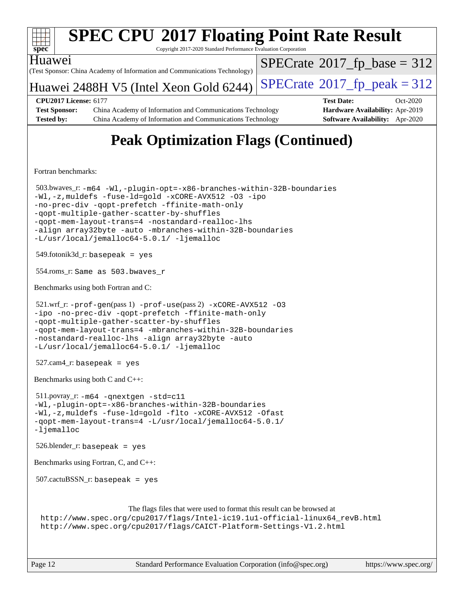

Copyright 2017-2020 Standard Performance Evaluation Corporation



(Test Sponsor: China Academy of Information and Communications Technology)

Huawei 2488H V5 (Intel Xeon Gold 6244) [SPECrate](http://www.spec.org/auto/cpu2017/Docs/result-fields.html#SPECrate2017fppeak)®2017\_fp\_peak =  $312$ 

 $SPECTate$ <sup>®</sup>[2017\\_fp\\_base =](http://www.spec.org/auto/cpu2017/Docs/result-fields.html#SPECrate2017fpbase) 312

**[Test Sponsor:](http://www.spec.org/auto/cpu2017/Docs/result-fields.html#TestSponsor)** China Academy of Information and Communications Technology **[Hardware Availability:](http://www.spec.org/auto/cpu2017/Docs/result-fields.html#HardwareAvailability)** Apr-2019 **[Tested by:](http://www.spec.org/auto/cpu2017/Docs/result-fields.html#Testedby)** China Academy of Information and Communications Technology **[Software Availability:](http://www.spec.org/auto/cpu2017/Docs/result-fields.html#SoftwareAvailability)** Apr-2020

**[CPU2017 License:](http://www.spec.org/auto/cpu2017/Docs/result-fields.html#CPU2017License)** 6177 **[Test Date:](http://www.spec.org/auto/cpu2017/Docs/result-fields.html#TestDate)** Oct-2020

# **[Peak Optimization Flags \(Continued\)](http://www.spec.org/auto/cpu2017/Docs/result-fields.html#PeakOptimizationFlags)**

[Fortran benchmarks](http://www.spec.org/auto/cpu2017/Docs/result-fields.html#Fortranbenchmarks):

```
 503.bwaves_r: -m64 -Wl,-plugin-opt=-x86-branches-within-32B-boundaries
-Wl,-z,muldefs -fuse-ld=gold -xCORE-AVX512 -O3 -ipo
-no-prec-div -qopt-prefetch -ffinite-math-only
-qopt-multiple-gather-scatter-by-shuffles
-qopt-mem-layout-trans=4 -nostandard-realloc-lhs
-align array32byte -auto -mbranches-within-32B-boundaries
-L/usr/local/jemalloc64-5.0.1/ -ljemalloc
549.fotonik3d<sub>-</sub>r: basepeak = yes
 554.roms_r: Same as 503.bwaves_r
Benchmarks using both Fortran and C: 
521.wrf_r: -\text{prof-qen}(pass 1) -\text{prof-use}(pass 2) -\text{xCORE-AVX512} -03-ipo -no-prec-div -qopt-prefetch -ffinite-math-only
-qopt-multiple-gather-scatter-by-shuffles
-qopt-mem-layout-trans=4 -mbranches-within-32B-boundaries
-nostandard-realloc-lhs -align array32byte -auto
-L/usr/local/jemalloc64-5.0.1/ -ljemalloc
 527.cam4_r: basepeak = yes
Benchmarks using both C and C++: 
 511.povray_r: -m64 -qnextgen -std=c11
-Wl,-plugin-opt=-x86-branches-within-32B-boundaries
-Wl,-z,muldefs -fuse-ld=gold -flto -xCORE-AVX512 -Ofast
-qopt-mem-layout-trans=4 -L/usr/local/jemalloc64-5.0.1/
-ljemalloc
 526.blender_r: basepeak = yes
Benchmarks using Fortran, C, and C++: 
 507.cactuBSSN_r: basepeak = yes
                       The flags files that were used to format this result can be browsed at
 http://www.spec.org/cpu2017/flags/Intel-ic19.1u1-official-linux64_revB.html
 http://www.spec.org/cpu2017/flags/CAICT-Platform-Settings-V1.2.html
```